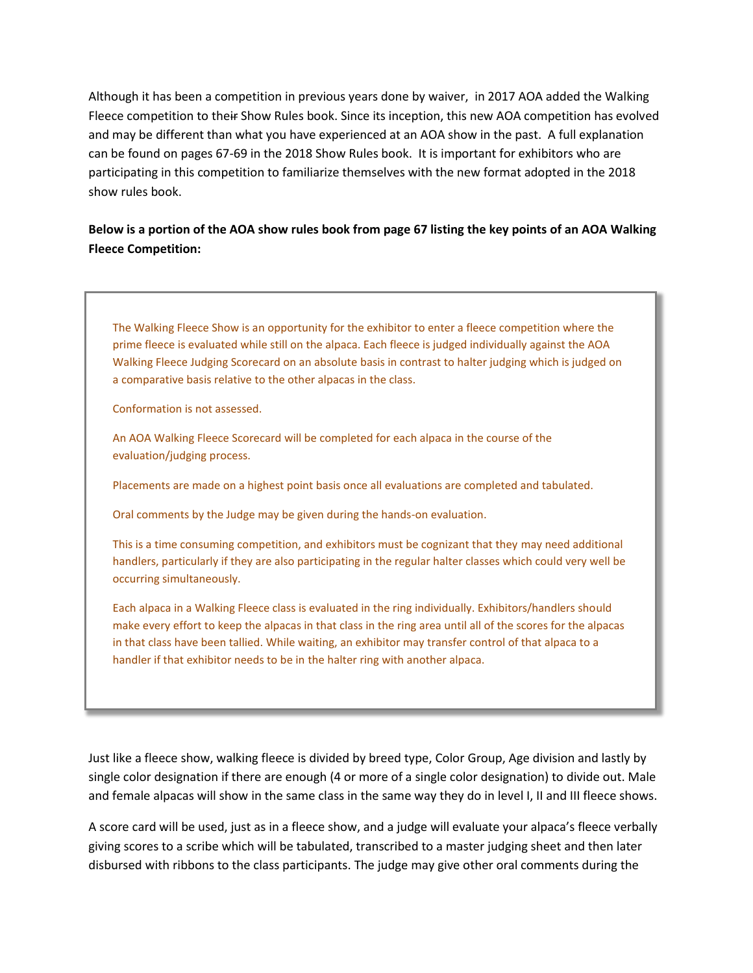Although it has been a competition in previous years done by waiver, in 2017 AOA added the Walking Fleece competition to their Show Rules book. Since its inception, this new AOA competition has evolved and may be different than what you have experienced at an AOA show in the past. A full explanation can be found on pages 67-69 in the 2018 Show Rules book. It is important for exhibitors who are participating in this competition to familiarize themselves with the new format adopted in the 2018 show rules book.

# **Below is a portion of the AOA show rules book from page 67 listing the key points of an AOA Walking Fleece Competition:**

The Walking Fleece Show is an opportunity for the exhibitor to enter a fleece competition where the prime fleece is evaluated while still on the alpaca. Each fleece is judged individually against the AOA Walking Fleece Judging Scorecard on an absolute basis in contrast to halter judging which is judged on a comparative basis relative to the other alpacas in the class.

Conformation is not assessed.

An AOA Walking Fleece Scorecard will be completed for each alpaca in the course of the evaluation/judging process.

Placements are made on a highest point basis once all evaluations are completed and tabulated.

Oral comments by the Judge may be given during the hands-on evaluation.

This is a time consuming competition, and exhibitors must be cognizant that they may need additional handlers, particularly if they are also participating in the regular halter classes which could very well be occurring simultaneously.

Each alpaca in a Walking Fleece class is evaluated in the ring individually. Exhibitors/handlers should make every effort to keep the alpacas in that class in the ring area until all of the scores for the alpacas in that class have been tallied. While waiting, an exhibitor may transfer control of that alpaca to a handler if that exhibitor needs to be in the halter ring with another alpaca.

Just like a fleece show, walking fleece is divided by breed type, Color Group, Age division and lastly by single color designation if there are enough (4 or more of a single color designation) to divide out. Male and female alpacas will show in the same class in the same way they do in level I, II and III fleece shows.

A score card will be used, just as in a fleece show, and a judge will evaluate your alpaca's fleece verbally giving scores to a scribe which will be tabulated, transcribed to a master judging sheet and then later disbursed with ribbons to the class participants. The judge may give other oral comments during the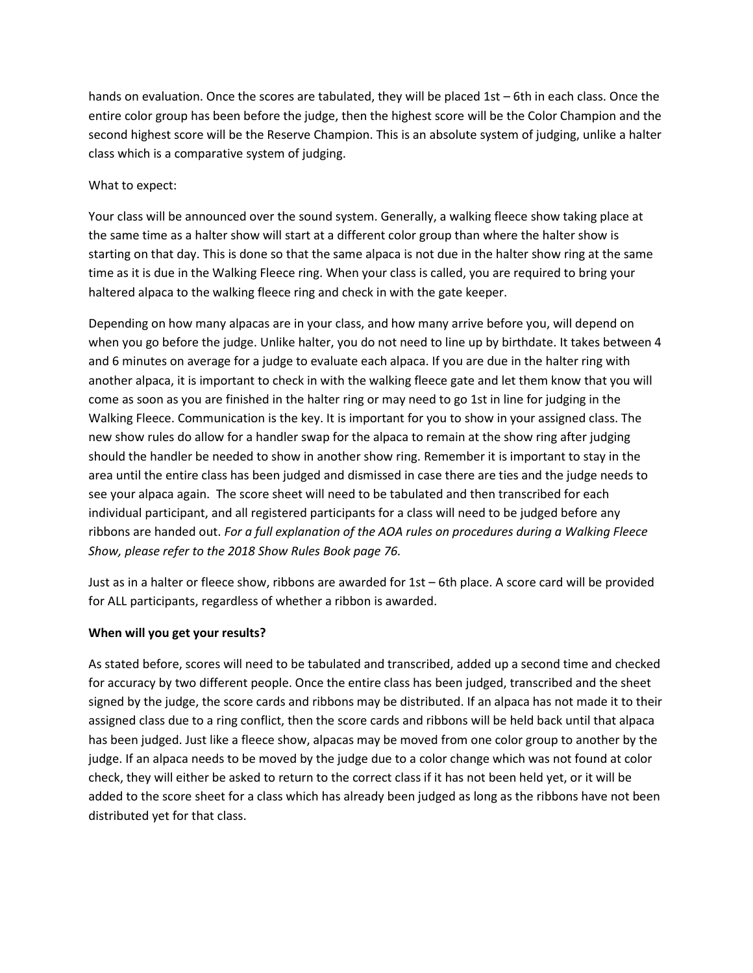hands on evaluation. Once the scores are tabulated, they will be placed 1st – 6th in each class. Once the entire color group has been before the judge, then the highest score will be the Color Champion and the second highest score will be the Reserve Champion. This is an absolute system of judging, unlike a halter class which is a comparative system of judging.

# What to expect:

Your class will be announced over the sound system. Generally, a walking fleece show taking place at the same time as a halter show will start at a different color group than where the halter show is starting on that day. This is done so that the same alpaca is not due in the halter show ring at the same time as it is due in the Walking Fleece ring. When your class is called, you are required to bring your haltered alpaca to the walking fleece ring and check in with the gate keeper.

Depending on how many alpacas are in your class, and how many arrive before you, will depend on when you go before the judge. Unlike halter, you do not need to line up by birthdate. It takes between 4 and 6 minutes on average for a judge to evaluate each alpaca. If you are due in the halter ring with another alpaca, it is important to check in with the walking fleece gate and let them know that you will come as soon as you are finished in the halter ring or may need to go 1st in line for judging in the Walking Fleece. Communication is the key. It is important for you to show in your assigned class. The new show rules do allow for a handler swap for the alpaca to remain at the show ring after judging should the handler be needed to show in another show ring. Remember it is important to stay in the area until the entire class has been judged and dismissed in case there are ties and the judge needs to see your alpaca again. The score sheet will need to be tabulated and then transcribed for each individual participant, and all registered participants for a class will need to be judged before any ribbons are handed out. *For a full explanation of the AOA rules on procedures during a Walking Fleece Show, please refer to the 2018 Show Rules Book page 76.*

Just as in a halter or fleece show, ribbons are awarded for 1st – 6th place. A score card will be provided for ALL participants, regardless of whether a ribbon is awarded.

## **When will you get your results?**

As stated before, scores will need to be tabulated and transcribed, added up a second time and checked for accuracy by two different people. Once the entire class has been judged, transcribed and the sheet signed by the judge, the score cards and ribbons may be distributed. If an alpaca has not made it to their assigned class due to a ring conflict, then the score cards and ribbons will be held back until that alpaca has been judged. Just like a fleece show, alpacas may be moved from one color group to another by the judge. If an alpaca needs to be moved by the judge due to a color change which was not found at color check, they will either be asked to return to the correct class if it has not been held yet, or it will be added to the score sheet for a class which has already been judged as long as the ribbons have not been distributed yet for that class.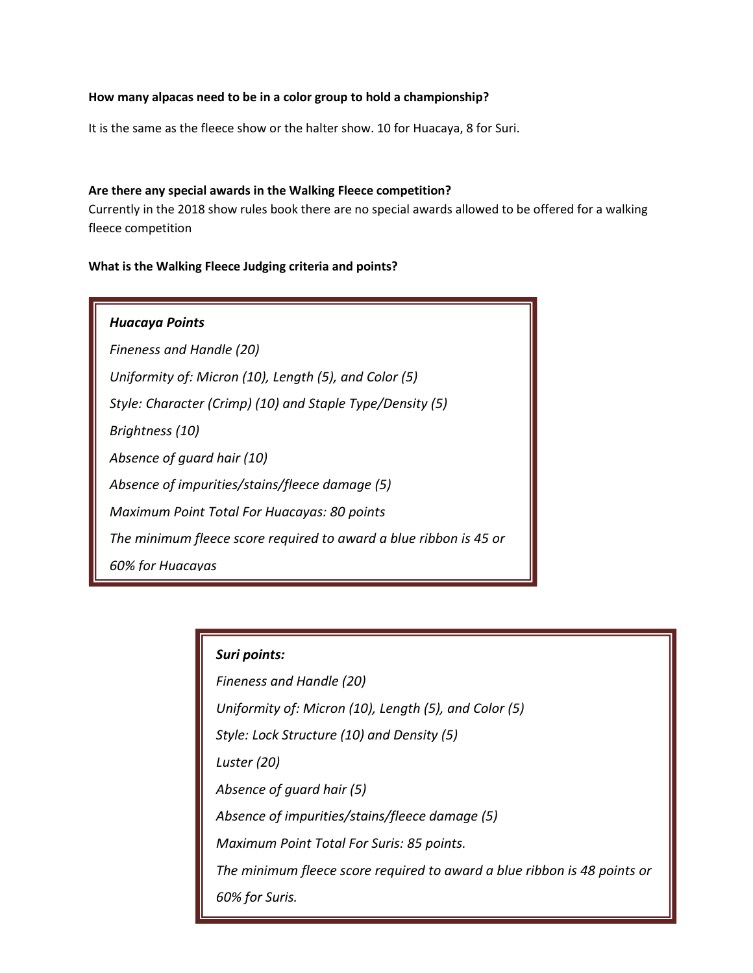# **How many alpacas need to be in a color group to hold a championship?**

It is the same as the fleece show or the halter show. 10 for Huacaya, 8 for Suri.

#### **Are there any special awards in the Walking Fleece competition?**

Currently in the 2018 show rules book there are no special awards allowed to be offered for a walking fleece competition

## **What is the Walking Fleece Judging criteria and points?**

| <b>Huacaya Points</b>                                             |
|-------------------------------------------------------------------|
| Fineness and Handle (20)                                          |
| Uniformity of: Micron (10), Length (5), and Color (5)             |
| Style: Character (Crimp) (10) and Staple Type/Density (5)         |
| Brightness (10)                                                   |
| Absence of quard hair (10)                                        |
| Absence of impurities/stains/fleece damage (5)                    |
| Maximum Point Total For Huacayas: 80 points                       |
| The minimum fleece score required to award a blue ribbon is 45 or |
| 60% for Huacavas                                                  |

# *Suri points:*

*Fineness and Handle (20) Uniformity of: Micron (10), Length (5), and Color (5) Style: Lock Structure (10) and Density (5) Luster (20) Absence of guard hair (5) Absence of impurities/stains/fleece damage (5) Maximum Point Total For Suris: 85 points. The minimum fleece score required to award a blue ribbon is 48 points or 60% for Suris.*